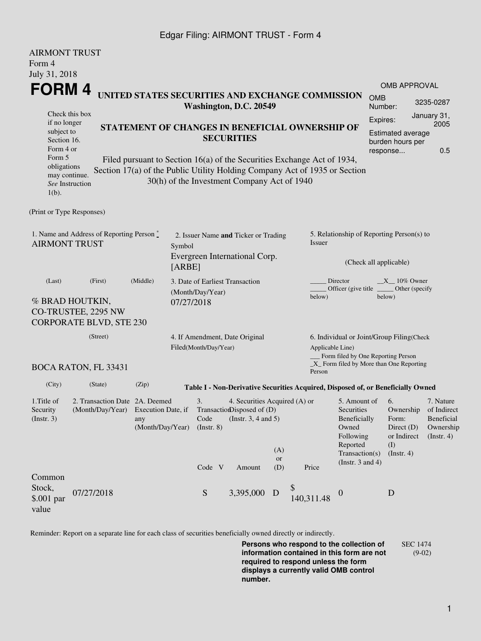### Edgar Filing: AIRMONT TRUST - Form 4

| <b>AIRMONT TRUST</b><br>Form 4                                    |                                                                          |                                                                                                                                                                                                      |                                                                                           |                                                                                         |                         |                                                                                  |                                                                                                                                                  |                       |                                                                                                    |                                                                         |  |
|-------------------------------------------------------------------|--------------------------------------------------------------------------|------------------------------------------------------------------------------------------------------------------------------------------------------------------------------------------------------|-------------------------------------------------------------------------------------------|-----------------------------------------------------------------------------------------|-------------------------|----------------------------------------------------------------------------------|--------------------------------------------------------------------------------------------------------------------------------------------------|-----------------------|----------------------------------------------------------------------------------------------------|-------------------------------------------------------------------------|--|
| July 31, 2018                                                     |                                                                          |                                                                                                                                                                                                      |                                                                                           |                                                                                         |                         |                                                                                  |                                                                                                                                                  |                       |                                                                                                    |                                                                         |  |
| FORM 4                                                            |                                                                          |                                                                                                                                                                                                      |                                                                                           |                                                                                         |                         |                                                                                  |                                                                                                                                                  |                       | OMB APPROVAL                                                                                       |                                                                         |  |
|                                                                   |                                                                          |                                                                                                                                                                                                      | UNITED STATES SECURITIES AND EXCHANGE COMMISSION<br>Washington, D.C. 20549                |                                                                                         |                         |                                                                                  |                                                                                                                                                  | <b>OMB</b><br>Number: |                                                                                                    | 3235-0287                                                               |  |
| if no longer<br>subject to<br>Section 16.<br>Form 4 or            | Check this box                                                           | STATEMENT OF CHANGES IN BENEFICIAL OWNERSHIP OF<br><b>SECURITIES</b>                                                                                                                                 |                                                                                           |                                                                                         |                         |                                                                                  |                                                                                                                                                  |                       | January 31,<br>Expires:<br>2005<br><b>Estimated average</b><br>burden hours per<br>0.5<br>response |                                                                         |  |
| Form 5<br>obligations<br>may continue.<br>$1(b)$ .                | See Instruction                                                          | Filed pursuant to Section 16(a) of the Securities Exchange Act of 1934,<br>Section 17(a) of the Public Utility Holding Company Act of 1935 or Section<br>30(h) of the Investment Company Act of 1940 |                                                                                           |                                                                                         |                         |                                                                                  |                                                                                                                                                  |                       |                                                                                                    |                                                                         |  |
| (Print or Type Responses)                                         |                                                                          |                                                                                                                                                                                                      |                                                                                           |                                                                                         |                         |                                                                                  |                                                                                                                                                  |                       |                                                                                                    |                                                                         |  |
| 1. Name and Address of Reporting Person *<br><b>AIRMONT TRUST</b> |                                                                          |                                                                                                                                                                                                      | 2. Issuer Name and Ticker or Trading<br>Symbol<br>Evergreen International Corp.<br>[ARBE] |                                                                                         |                         |                                                                                  | 5. Relationship of Reporting Person(s) to<br>Issuer                                                                                              |                       |                                                                                                    |                                                                         |  |
|                                                                   |                                                                          |                                                                                                                                                                                                      |                                                                                           |                                                                                         |                         |                                                                                  | (Check all applicable)                                                                                                                           |                       |                                                                                                    |                                                                         |  |
| (Middle)<br>(Last)<br>(First)                                     |                                                                          |                                                                                                                                                                                                      | 3. Date of Earliest Transaction<br>(Month/Day/Year)                                       |                                                                                         |                         |                                                                                  | Director<br>$X_{10\%}$ Owner<br>Officer (give title<br>Other (specify<br>below)<br>below)                                                        |                       |                                                                                                    |                                                                         |  |
|                                                                   | % BRAD HOUTKIN,<br>CO-TRUSTEE, 2295 NW<br><b>CORPORATE BLVD, STE 230</b> |                                                                                                                                                                                                      | 07/27/2018                                                                                |                                                                                         |                         |                                                                                  |                                                                                                                                                  |                       |                                                                                                    |                                                                         |  |
|                                                                   | (Street)                                                                 |                                                                                                                                                                                                      |                                                                                           |                                                                                         |                         |                                                                                  |                                                                                                                                                  |                       |                                                                                                    |                                                                         |  |
|                                                                   |                                                                          |                                                                                                                                                                                                      | 4. If Amendment, Date Original<br>Filed(Month/Day/Year)                                   |                                                                                         |                         |                                                                                  | 6. Individual or Joint/Group Filing(Check<br>Applicable Line)<br>Form filed by One Reporting Person<br>$X$ Form filed by More than One Reporting |                       |                                                                                                    |                                                                         |  |
|                                                                   | <b>BOCA RATON, FL 33431</b>                                              |                                                                                                                                                                                                      |                                                                                           |                                                                                         |                         | Person                                                                           |                                                                                                                                                  |                       |                                                                                                    |                                                                         |  |
| (City)                                                            | (State)                                                                  | (Zip)                                                                                                                                                                                                |                                                                                           |                                                                                         |                         | Table I - Non-Derivative Securities Acquired, Disposed of, or Beneficially Owned |                                                                                                                                                  |                       |                                                                                                    |                                                                         |  |
| 1. Title of<br>Security<br>(Insert. 3)                            | 2. Transaction Date 2A. Deemed<br>(Month/Day/Year) Execution Date, if    | any<br>(Month/Day/Year)                                                                                                                                                                              | 3.<br>Code<br>$($ Instr. 8 $)$                                                            | 4. Securities Acquired (A) or<br>TransactionDisposed of (D)<br>(Instr. $3, 4$ and $5$ ) |                         |                                                                                  | 5. Amount of<br>Securities<br>Beneficially<br>Owned<br>Following                                                                                 |                       | 6.<br>Ownership<br>Form:<br>Direct (D)<br>or Indirect                                              | 7. Nature<br>of Indirect<br>Beneficial<br>Ownership<br>$($ Instr. 4 $)$ |  |
|                                                                   |                                                                          |                                                                                                                                                                                                      | Code V                                                                                    | Amount                                                                                  | (A)<br><b>or</b><br>(D) | Price                                                                            | Reported<br>Transaction(s)<br>(Instr. $3$ and $4$ )                                                                                              | (I)                   | $($ Instr. 4 $)$                                                                                   |                                                                         |  |
| Common<br>Stock,<br>$$.001$ par<br>value                          | 07/27/2018                                                               |                                                                                                                                                                                                      | S                                                                                         | 3,395,000 D                                                                             |                         | \$<br>140,311.48                                                                 | $\boldsymbol{0}$                                                                                                                                 | D                     |                                                                                                    |                                                                         |  |

Reminder: Report on a separate line for each class of securities beneficially owned directly or indirectly.

**Persons who respond to the collection of information contained in this form are not required to respond unless the form displays a currently valid OMB control number.** SEC 1474 (9-02)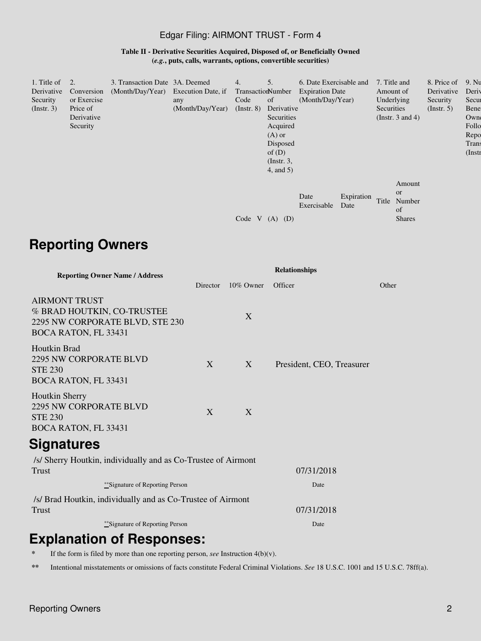### Edgar Filing: AIRMONT TRUST - Form 4

**Table II - Derivative Securities Acquired, Disposed of, or Beneficially Owned (***e.g.***, puts, calls, warrants, options, convertible securities)**

| 1. Title of<br>Derivative<br>Security<br>$($ Instr. 3 $)$ | 2.<br>Conversion<br>or Exercise<br>Price of<br>Derivative<br>Security | 3. Transaction Date 3A. Deemed<br>(Month/Day/Year) Execution Date, if | any<br>(Month/Day/Year) | 4.<br>TransactionNumber<br>Code<br>$($ Instr. 8 $)$ | 5.<br>of<br>Derivative<br>Securities<br>Acquired<br>$(A)$ or<br>Disposed<br>of $(D)$<br>$($ Instr. 3, | 6. Date Exercisable and<br><b>Expiration Date</b><br>(Month/Day/Year) |                    | 7. Title and<br>Amount of<br>Underlying<br>Securities<br>(Instr. $3$ and $4$ ) |                                   | 8. Price of<br>Derivative<br>Security<br>(Insert. 5) | 9. Nu<br>Deriy<br>Secur<br>Bene<br>Owne<br>Follo<br>Repo<br>Trans<br>$($ Instr |  |
|-----------------------------------------------------------|-----------------------------------------------------------------------|-----------------------------------------------------------------------|-------------------------|-----------------------------------------------------|-------------------------------------------------------------------------------------------------------|-----------------------------------------------------------------------|--------------------|--------------------------------------------------------------------------------|-----------------------------------|------------------------------------------------------|--------------------------------------------------------------------------------|--|
|                                                           |                                                                       |                                                                       |                         | Code V                                              | $4$ , and $5$ )<br>(D)<br>(A)                                                                         | Date<br>Exercisable                                                   | Expiration<br>Date | <b>or</b><br>Title<br>of                                                       | Amount<br>Number<br><b>Shares</b> |                                                      |                                                                                |  |

## **Reporting Owners**

| <b>Reporting Owner Name / Address</b>                                                                                | Relationships |           |                           |       |  |  |  |  |
|----------------------------------------------------------------------------------------------------------------------|---------------|-----------|---------------------------|-------|--|--|--|--|
|                                                                                                                      | Director      | 10% Owner | Officer                   | Other |  |  |  |  |
| <b>AIRMONT TRUST</b><br>% BRAD HOUTKIN, CO-TRUSTEE<br>2295 NW CORPORATE BLVD, STE 230<br><b>BOCA RATON, FL 33431</b> |               | X         |                           |       |  |  |  |  |
| Houtkin Brad<br><b>2295 NW CORPORATE BLVD</b><br><b>STE 230</b><br><b>BOCA RATON, FL 33431</b>                       | X             | X         | President, CEO, Treasurer |       |  |  |  |  |
| <b>Houtkin Sherry</b><br>2295 NW CORPORATE BLVD<br><b>STE 230</b><br><b>BOCA RATON, FL 33431</b>                     | $\mathbf{X}$  | X         |                           |       |  |  |  |  |
| Signatures                                                                                                           |               |           |                           |       |  |  |  |  |
| /s/ Sherry Houtkin, individually and as Co-Trustee of Airmont<br>Trust                                               |               |           | 07/31/2018                |       |  |  |  |  |
| ***Signature of Reporting Person                                                                                     |               | Date      |                           |       |  |  |  |  |
| /s/ Brad Houtkin, individually and as Co-Trustee of Airmont                                                          |               |           |                           |       |  |  |  |  |

Trust 07/31/2018

\*\*Signature of Reporting Person Date

# **Explanation of Responses:**

**\*** If the form is filed by more than one reporting person, *see* Instruction 4(b)(v).

**\*\*** Intentional misstatements or omissions of facts constitute Federal Criminal Violations. *See* 18 U.S.C. 1001 and 15 U.S.C. 78ff(a).